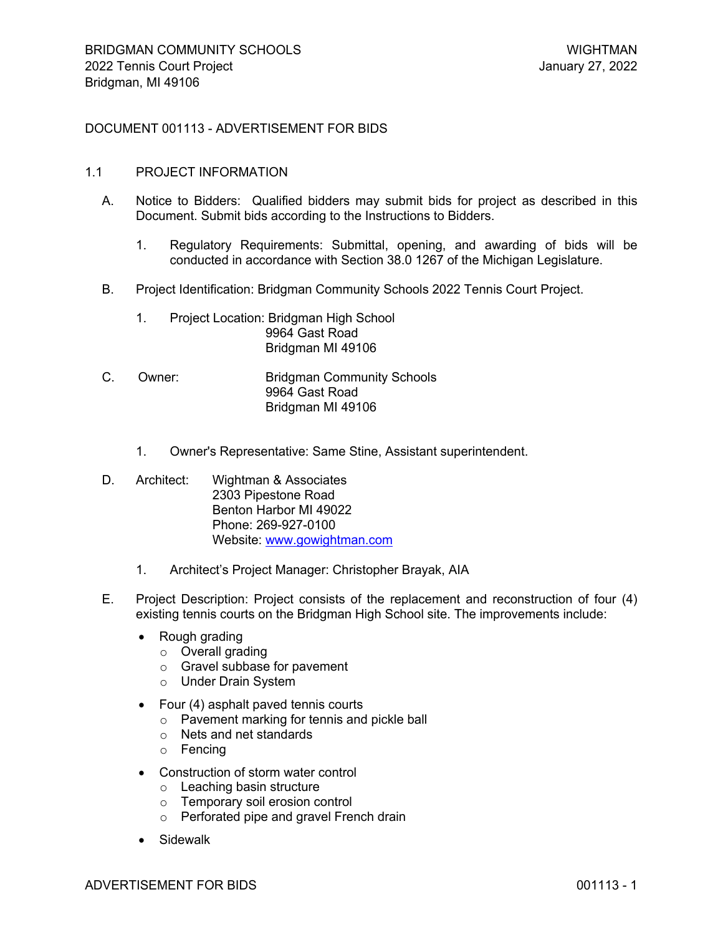# DOCUMENT 001113 - ADVERTISEMENT FOR BIDS

#### 1.1 PROJECT INFORMATION

- A. Notice to Bidders: Qualified bidders may submit bids for project as described in this Document. Submit bids according to the Instructions to Bidders.
	- 1. Regulatory Requirements: Submittal, opening, and awarding of bids will be conducted in accordance with Section 38.0 1267 of the Michigan Legislature.
- B. Project Identification: Bridgman Community Schools 2022 Tennis Court Project.
	- 1. Project Location: Bridgman High School 9964 Gast Road Bridgman MI 49106
- C. Owner: Bridgman Community Schools 9964 Gast Road Bridgman MI 49106
	- 1. Owner's Representative: Same Stine, Assistant superintendent.
- D. Architect: Wightman & Associates 2303 Pipestone Road Benton Harbor MI 49022 Phone: 269-927-0100 Website: [www.gowightman.com](http://www.gowightman.com/)
	- 1. Architect's Project Manager: Christopher Brayak, AIA
- E. Project Description: Project consists of the replacement and reconstruction of four (4) existing tennis courts on the Bridgman High School site. The improvements include:
	- Rough grading
		- o Overall grading
		- o Gravel subbase for pavement
		- o Under Drain System
	- Four (4) asphalt paved tennis courts
		- o Pavement marking for tennis and pickle ball
		- o Nets and net standards
		- o Fencing
	- Construction of storm water control
		- o Leaching basin structure
		- o Temporary soil erosion control
		- o Perforated pipe and gravel French drain
	- Sidewalk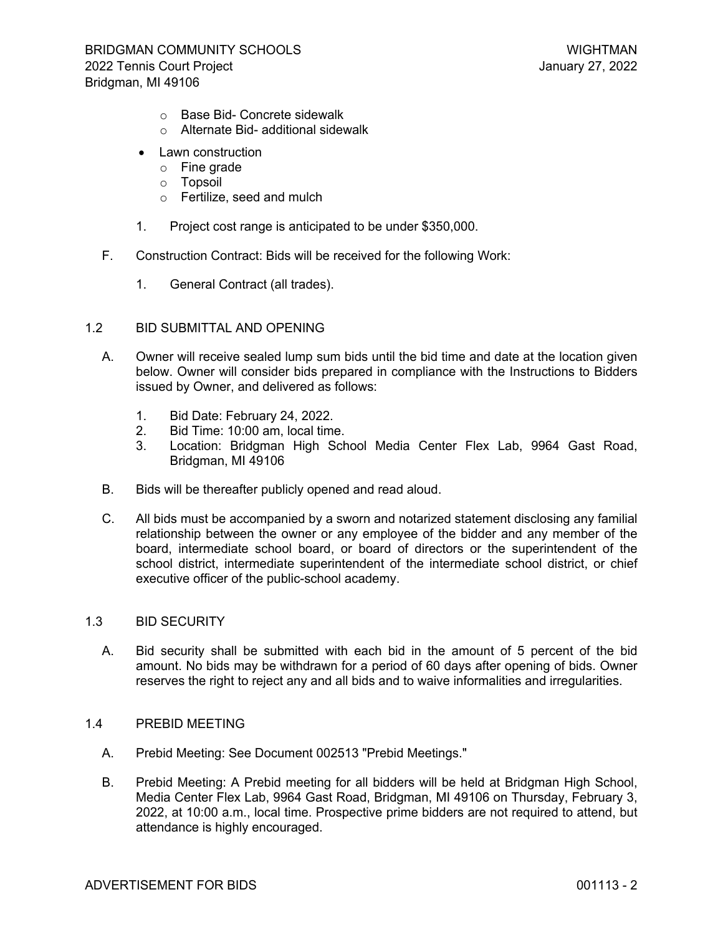- o Base Bid- Concrete sidewalk
- o Alternate Bid- additional sidewalk
- Lawn construction
	- o Fine grade
	- o Topsoil
	- o Fertilize, seed and mulch
- 1. Project cost range is anticipated to be under \$350,000.
- F. Construction Contract: Bids will be received for the following Work:
	- 1. General Contract (all trades).

## 1.2 BID SUBMITTAL AND OPENING

- A. Owner will receive sealed lump sum bids until the bid time and date at the location given below. Owner will consider bids prepared in compliance with the Instructions to Bidders issued by Owner, and delivered as follows:
	- 1. Bid Date: February 24, 2022.
	- 2. Bid Time: 10:00 am, local time.
	- 3. Location: Bridgman High School Media Center Flex Lab, 9964 Gast Road, Bridgman, MI 49106
- B. Bids will be thereafter publicly opened and read aloud.
- C. All bids must be accompanied by a sworn and notarized statement disclosing any familial relationship between the owner or any employee of the bidder and any member of the board, intermediate school board, or board of directors or the superintendent of the school district, intermediate superintendent of the intermediate school district, or chief executive officer of the public-school academy.

### 1.3 BID SECURITY

- A. Bid security shall be submitted with each bid in the amount of 5 percent of the bid amount. No bids may be withdrawn for a period of 60 days after opening of bids. Owner reserves the right to reject any and all bids and to waive informalities and irregularities.
- 1.4 PREBID MEETING
	- A. Prebid Meeting: See Document 002513 "Prebid Meetings."
	- B. Prebid Meeting: A Prebid meeting for all bidders will be held at Bridgman High School, Media Center Flex Lab, 9964 Gast Road, Bridgman, MI 49106 on Thursday, February 3, 2022, at 10:00 a.m., local time. Prospective prime bidders are not required to attend, but attendance is highly encouraged.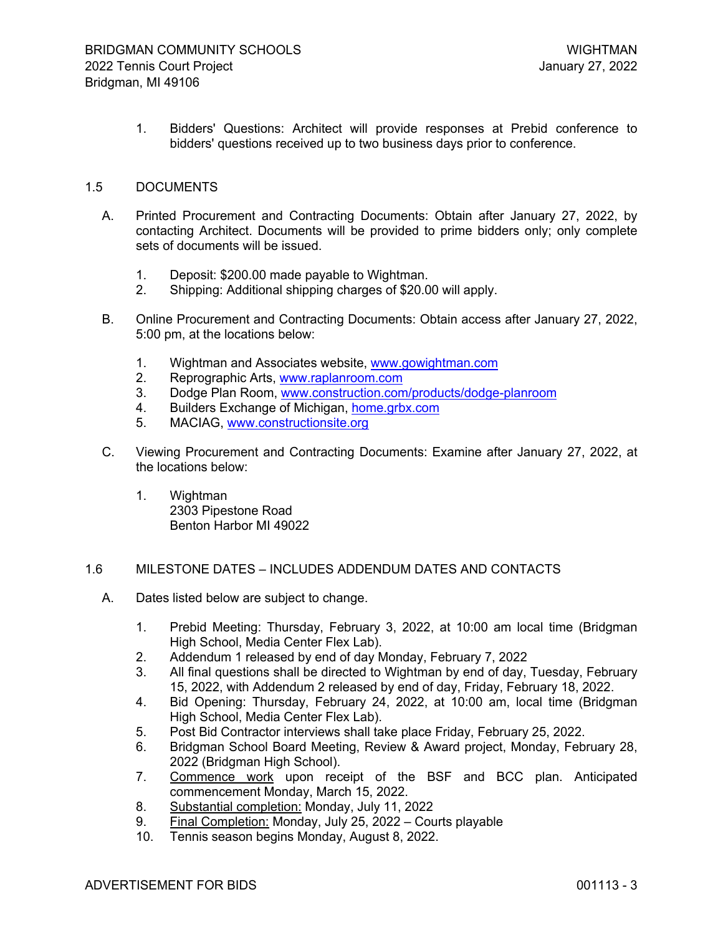1. Bidders' Questions: Architect will provide responses at Prebid conference to bidders' questions received up to two business days prior to conference.

### 1.5 DOCUMENTS

- A. Printed Procurement and Contracting Documents: Obtain after January 27, 2022, by contacting Architect. Documents will be provided to prime bidders only; only complete sets of documents will be issued.
	- 1. Deposit: \$200.00 made payable to Wightman.
	- 2. Shipping: Additional shipping charges of \$20.00 will apply.
- B. Online Procurement and Contracting Documents: Obtain access after January 27, 2022, 5:00 pm, at the locations below:
	- 1. Wightman and Associates website, [www.gowightman.com](http://www.gowightman.com/)
	- 2. Reprographic Arts, [www.raplanroom.com](http://www.raplanroom.com/)
	- 3. Dodge Plan Room, [www.construction.com/products/dodge-planroom](http://www.construction.com/products/dodge-planroom)
	- 4. Builders Exchange of Michigan, [home.grbx.com](http://home.grbx.com/)
	- 5. MACIAG, [www.constructionsite.org](http://www.constructionsite.org/)
- C. Viewing Procurement and Contracting Documents: Examine after January 27, 2022, at the locations below:
	- 1. Wightman 2303 Pipestone Road Benton Harbor MI 49022

### 1.6 MILESTONE DATES – INCLUDES ADDENDUM DATES AND CONTACTS

- A. Dates listed below are subject to change.
	- 1. Prebid Meeting: Thursday, February 3, 2022, at 10:00 am local time (Bridgman High School, Media Center Flex Lab).
	- 2. Addendum 1 released by end of day Monday, February 7, 2022
	- 3. All final questions shall be directed to Wightman by end of day, Tuesday, February 15, 2022, with Addendum 2 released by end of day, Friday, February 18, 2022.
	- 4. Bid Opening: Thursday, February 24, 2022, at 10:00 am, local time (Bridgman High School, Media Center Flex Lab).
	- 5. Post Bid Contractor interviews shall take place Friday, February 25, 2022.
	- 6. Bridgman School Board Meeting, Review & Award project, Monday, February 28, 2022 (Bridgman High School).
	- 7. Commence work upon receipt of the BSF and BCC plan. Anticipated commencement Monday, March 15, 2022.
	- 8. Substantial completion: Monday, July 11, 2022
	- 9. Final Completion: Monday, July 25, 2022 Courts playable
	- 10. Tennis season begins Monday, August 8, 2022.